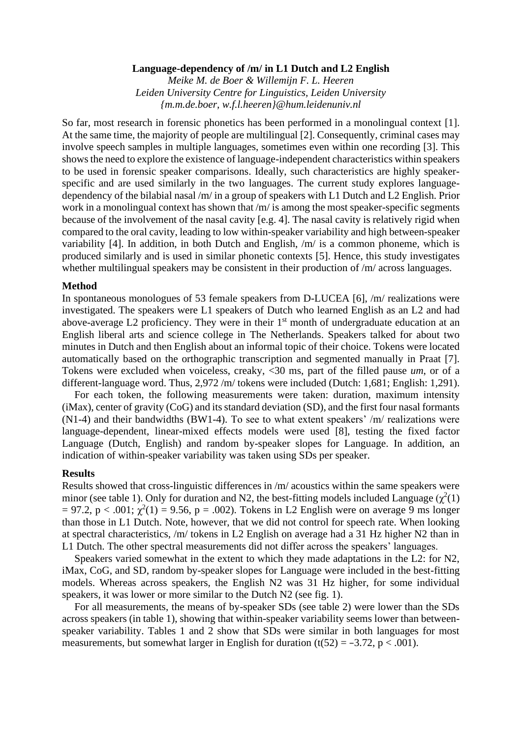# **Language-dependency of /m/ in L1 Dutch and L2 English**

*Meike M. de Boer & Willemijn F. L. Heeren Leiden University Centre for Linguistics, Leiden University {m.m.de.boer, w.f.l.heeren}@hum.leidenuniv.nl*

So far, most research in forensic phonetics has been performed in a monolingual context [1]. At the same time, the majority of people are multilingual [2]. Consequently, criminal cases may involve speech samples in multiple languages, sometimes even within one recording [3]. This shows the need to explore the existence of language-independent characteristics within speakers to be used in forensic speaker comparisons. Ideally, such characteristics are highly speakerspecific and are used similarly in the two languages. The current study explores languagedependency of the bilabial nasal /m/ in a group of speakers with L1 Dutch and L2 English. Prior work in a monolingual context has shown that /m/ is among the most speaker-specific segments because of the involvement of the nasal cavity [e.g. 4]. The nasal cavity is relatively rigid when compared to the oral cavity, leading to low within-speaker variability and high between-speaker variability [4]. In addition, in both Dutch and English, /m/ is a common phoneme, which is produced similarly and is used in similar phonetic contexts [5]. Hence, this study investigates whether multilingual speakers may be consistent in their production of  $/m/$  across languages.

# **Method**

In spontaneous monologues of 53 female speakers from D-LUCEA [6], /m/ realizations were investigated. The speakers were L1 speakers of Dutch who learned English as an L2 and had above-average L2 proficiency. They were in their  $1<sup>st</sup>$  month of undergraduate education at an English liberal arts and science college in The Netherlands. Speakers talked for about two minutes in Dutch and then English about an informal topic of their choice. Tokens were located automatically based on the orthographic transcription and segmented manually in Praat [7]. Tokens were excluded when voiceless, creaky, <30 ms, part of the filled pause *um*, or of a different-language word. Thus, 2,972 /m/ tokens were included (Dutch: 1,681; English: 1,291).

For each token, the following measurements were taken: duration, maximum intensity (iMax), center of gravity (CoG) and its standard deviation (SD), and the first four nasal formants (N1-4) and their bandwidths (BW1-4). To see to what extent speakers' /m/ realizations were language-dependent, linear-mixed effects models were used [8], testing the fixed factor Language (Dutch, English) and random by-speaker slopes for Language. In addition, an indication of within-speaker variability was taken using SDs per speaker.

### **Results**

Results showed that cross-linguistic differences in /m/ acoustics within the same speakers were minor (see table 1). Only for duration and N2, the best-fitting models included Language  $(\chi^2(1))$  $= 97.2$ ,  $p < .001$ ;  $\chi^2(1) = 9.56$ ,  $p = .002$ ). Tokens in L2 English were on average 9 ms longer than those in L1 Dutch. Note, however, that we did not control for speech rate. When looking at spectral characteristics, /m/ tokens in L2 English on average had a 31 Hz higher N2 than in L1 Dutch. The other spectral measurements did not differ across the speakers' languages.

Speakers varied somewhat in the extent to which they made adaptations in the L2: for N2, iMax, CoG, and SD, random by-speaker slopes for Language were included in the best-fitting models. Whereas across speakers, the English N2 was 31 Hz higher, for some individual speakers, it was lower or more similar to the Dutch N2 (see fig. 1).

For all measurements, the means of by-speaker SDs (see table 2) were lower than the SDs across speakers (in table 1), showing that within-speaker variability seems lower than betweenspeaker variability. Tables 1 and 2 show that SDs were similar in both languages for most measurements, but somewhat larger in English for duration  $(t(52) = -3.72, p < .001)$ .